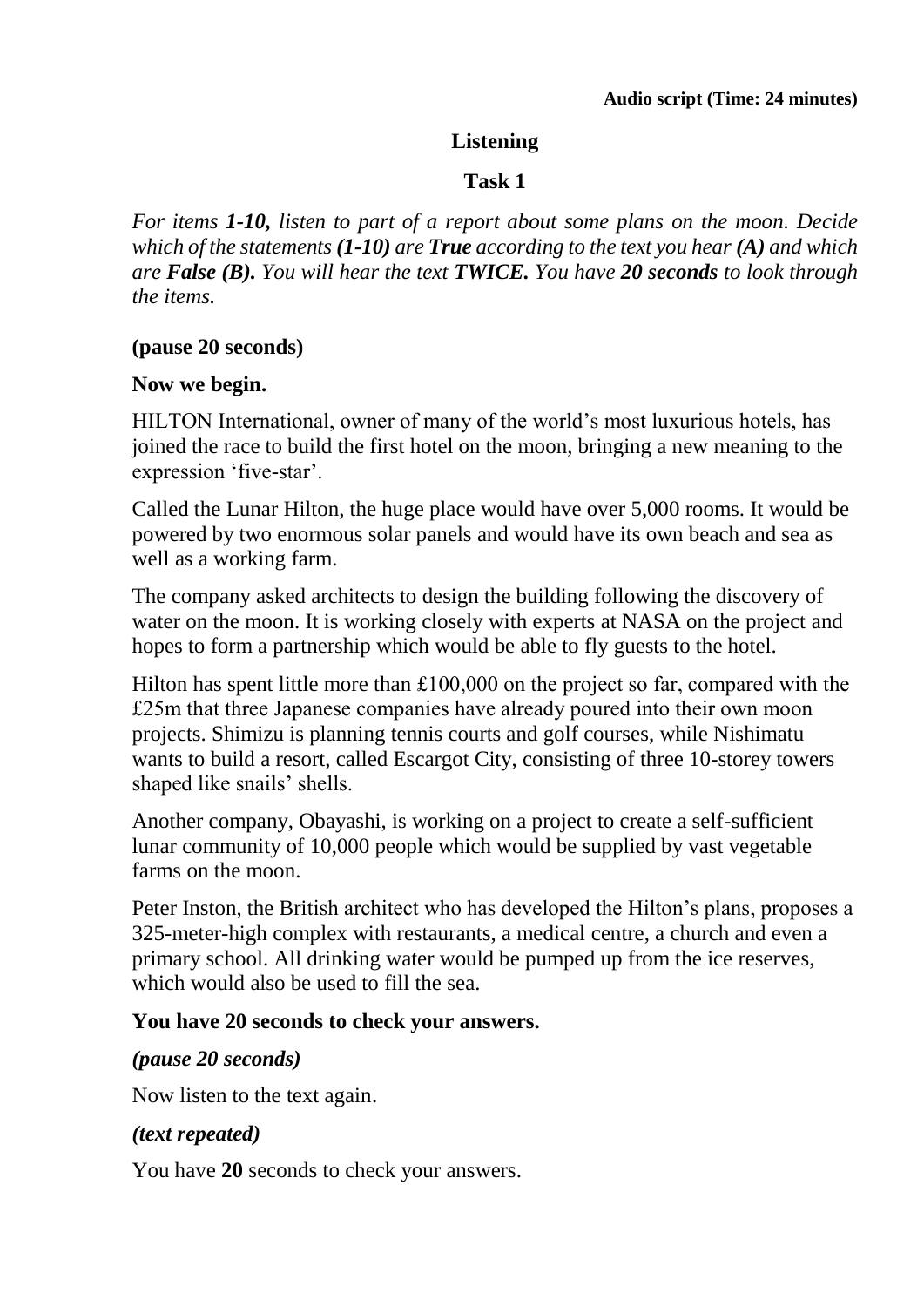# **Listening**

# **Task 1**

*For items 1-10, listen to part of a report about some plans on the moon. Decide which of the statements (1-10) are True according to the text you hear (A) and which are False (B). You will hear the text TWICE. You have 20 seconds to look through the items.*

# **(pause 20 seconds)**

# **Now we begin.**

HILTON International, owner of many of the world's most luxurious hotels, has joined the race to build the first hotel on the moon, bringing a new meaning to the expression 'five-star'.

Called the Lunar Hilton, the huge place would have over 5,000 rooms. It would be powered by two enormous solar panels and would have its own beach and sea as well as a working farm.

The company asked architects to design the building following the discovery of water on the moon. It is working closely with experts at NASA on the project and hopes to form a partnership which would be able to fly guests to the hotel.

Hilton has spent little more than £100,000 on the project so far, compared with the £25m that three Japanese companies have already poured into their own moon projects. Shimizu is planning tennis courts and golf courses, while Nishimatu wants to build a resort, called Escargot City, consisting of three 10-storey towers shaped like snails' shells.

Another company, Obayashi, is working on a project to create a self-sufficient lunar community of 10,000 people which would be supplied by vast vegetable farms on the moon.

Peter Inston, the British architect who has developed the Hilton's plans, proposes a 325-meter-high complex with restaurants, a medical centre, a church and even a primary school. All drinking water would be pumped up from the ice reserves, which would also be used to fill the sea.

# **You have 20 seconds to check your answers.**

# *(pause 20 seconds)*

Now listen to the text again.

# *(text repeated)*

You have **20** seconds to check your answers.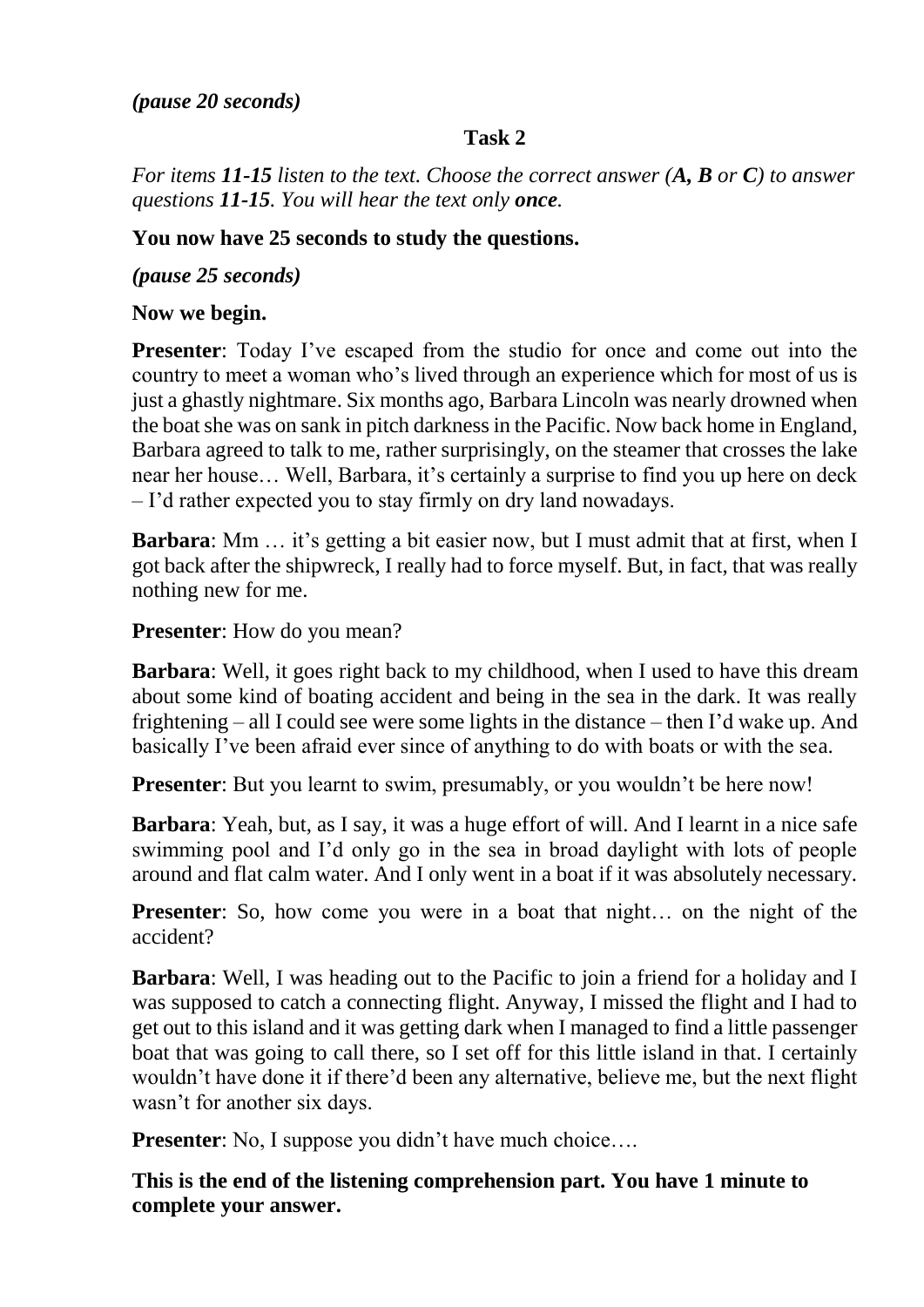# **Task 2**

*For items 11-15 listen to the text. Choose the correct answer (A, B or C) to answer questions 11-15. You will hear the text only once.*

# **You now have 25 seconds to study the questions.**

*(pause 25 seconds)*

# **Now we begin.**

**Presenter**: Today I've escaped from the studio for once and come out into the country to meet a woman who's lived through an experience which for most of us is just a ghastly nightmare. Six months ago, Barbara Lincoln was nearly drowned when the boat she was on sank in pitch darkness in the Pacific. Now back home in England, Barbara agreed to talk to me, rather surprisingly, on the steamer that crosses the lake near her house… Well, Barbara, it's certainly a surprise to find you up here on deck – I'd rather expected you to stay firmly on dry land nowadays.

**Barbara**: Mm … it's getting a bit easier now, but I must admit that at first, when I got back after the shipwreck, I really had to force myself. But, in fact, that was really nothing new for me.

**Presenter**: How do you mean?

**Barbara**: Well, it goes right back to my childhood, when I used to have this dream about some kind of boating accident and being in the sea in the dark. It was really frightening – all I could see were some lights in the distance – then I'd wake up. And basically I've been afraid ever since of anything to do with boats or with the sea.

**Presenter**: But you learnt to swim, presumably, or you wouldn't be here now!

**Barbara**: Yeah, but, as I say, it was a huge effort of will. And I learnt in a nice safe swimming pool and I'd only go in the sea in broad daylight with lots of people around and flat calm water. And I only went in a boat if it was absolutely necessary.

**Presenter**: So, how come you were in a boat that night... on the night of the accident?

**Barbara**: Well, I was heading out to the Pacific to join a friend for a holiday and I was supposed to catch a connecting flight. Anyway, I missed the flight and I had to get out to this island and it was getting dark when I managed to find a little passenger boat that was going to call there, so I set off for this little island in that. I certainly wouldn't have done it if there'd been any alternative, believe me, but the next flight wasn't for another six days.

**Presenter**: No, I suppose you didn't have much choice....

**This is the end of the listening comprehension part. You have 1 minute to complete your answer.**